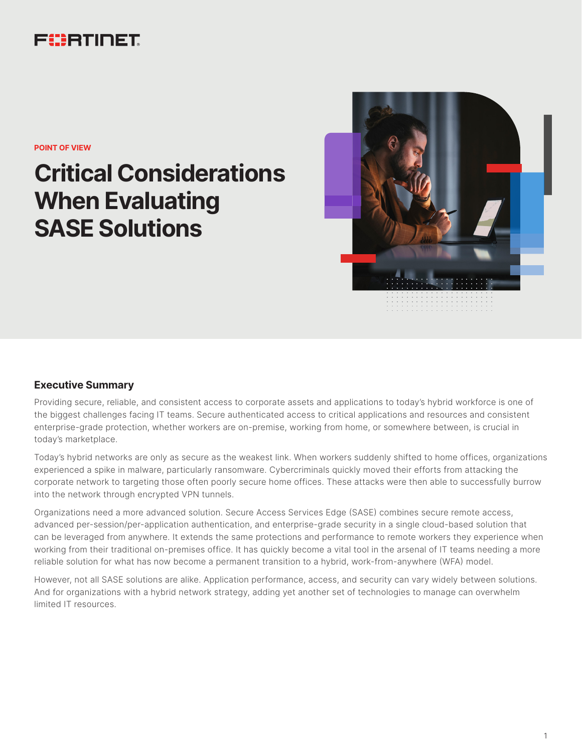## FURTINET

**POINT OF VIEW**

# **Critical Considerations When Evaluating SASE Solutions**



### **Executive Summary**

Providing secure, reliable, and consistent access to corporate assets and applications to today's hybrid workforce is one of the biggest challenges facing IT teams. Secure authenticated access to critical applications and resources and consistent enterprise-grade protection, whether workers are on-premise, working from home, or somewhere between, is crucial in today's marketplace.

Today's hybrid networks are only as secure as the weakest link. When workers suddenly shifted to home offices, organizations experienced a spike in malware, particularly ransomware. Cybercriminals quickly moved their efforts from attacking the corporate network to targeting those often poorly secure home offices. These attacks were then able to successfully burrow into the network through encrypted VPN tunnels.

Organizations need a more advanced solution. Secure Access Services Edge (SASE) combines secure remote access, advanced per-session/per-application authentication, and enterprise-grade security in a single cloud-based solution that can be leveraged from anywhere. It extends the same protections and performance to remote workers they experience when working from their traditional on-premises office. It has quickly become a vital tool in the arsenal of IT teams needing a more reliable solution for what has now become a permanent transition to a hybrid, work-from-anywhere (WFA) model.

However, not all SASE solutions are alike. Application performance, access, and security can vary widely between solutions. And for organizations with a hybrid network strategy, adding yet another set of technologies to manage can overwhelm limited IT resources.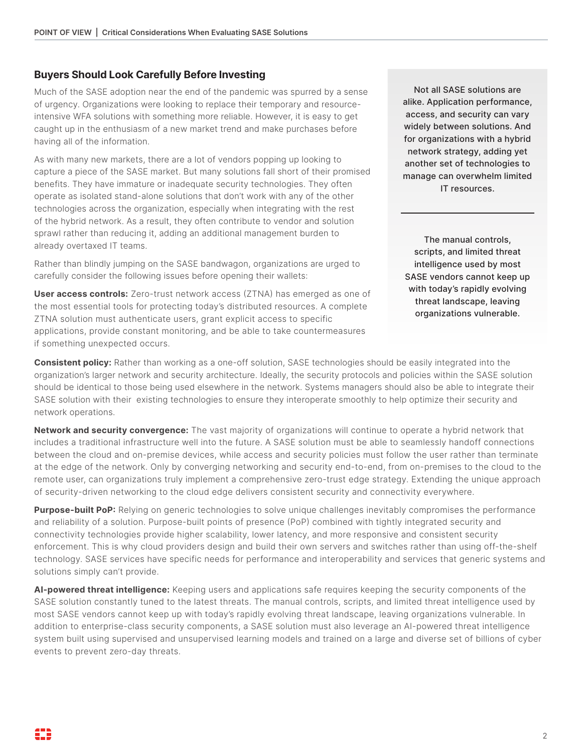#### **Buyers Should Look Carefully Before Investing**

Much of the SASE adoption near the end of the pandemic was spurred by a sense of urgency. Organizations were looking to replace their temporary and resourceintensive WFA solutions with something more reliable. However, it is easy to get caught up in the enthusiasm of a new market trend and make purchases before having all of the information.

As with many new markets, there are a lot of vendors popping up looking to capture a piece of the SASE market. But many solutions fall short of their promised benefits. They have immature or inadequate security technologies. They often operate as isolated stand-alone solutions that don't work with any of the other technologies across the organization, especially when integrating with the rest of the hybrid network. As a result, they often contribute to vendor and solution sprawl rather than reducing it, adding an additional management burden to already overtaxed IT teams.

Rather than blindly jumping on the SASE bandwagon, organizations are urged to carefully consider the following issues before opening their wallets:

**User access controls:** Zero-trust network access (ZTNA) has emerged as one of the most essential tools for protecting today's distributed resources. A complete ZTNA solution must authenticate users, grant explicit access to specific applications, provide constant monitoring, and be able to take countermeasures if something unexpected occurs.

Not all SASE solutions are alike. Application performance, access, and security can vary widely between solutions. And for organizations with a hybrid network strategy, adding yet another set of technologies to manage can overwhelm limited IT resources.

The manual controls, scripts, and limited threat intelligence used by most SASE vendors cannot keep up with today's rapidly evolving threat landscape, leaving organizations vulnerable.

**Consistent policy:** Rather than working as a one-off solution, SASE technologies should be easily integrated into the organization's larger network and security architecture. Ideally, the security protocols and policies within the SASE solution should be identical to those being used elsewhere in the network. Systems managers should also be able to integrate their SASE solution with their existing technologies to ensure they interoperate smoothly to help optimize their security and network operations.

**Network and security convergence:** The vast majority of organizations will continue to operate a hybrid network that includes a traditional infrastructure well into the future. A SASE solution must be able to seamlessly handoff connections between the cloud and on-premise devices, while access and security policies must follow the user rather than terminate at the edge of the network. Only by converging networking and security end-to-end, from on-premises to the cloud to the remote user, can organizations truly implement a comprehensive zero-trust edge strategy. Extending the unique approach of security-driven networking to the cloud edge delivers consistent security and connectivity everywhere.

**Purpose-built PoP:** Relying on generic technologies to solve unique challenges inevitably compromises the performance and reliability of a solution. Purpose-built points of presence (PoP) combined with tightly integrated security and connectivity technologies provide higher scalability, lower latency, and more responsive and consistent security enforcement. This is why cloud providers design and build their own servers and switches rather than using off-the-shelf technology. SASE services have specific needs for performance and interoperability and services that generic systems and solutions simply can't provide.

**AI-powered threat intelligence:** Keeping users and applications safe requires keeping the security components of the SASE solution constantly tuned to the latest threats. The manual controls, scripts, and limited threat intelligence used by most SASE vendors cannot keep up with today's rapidly evolving threat landscape, leaving organizations vulnerable. In addition to enterprise-class security components, a SASE solution must also leverage an AI-powered threat intelligence system built using supervised and unsupervised learning models and trained on a large and diverse set of billions of cyber events to prevent zero-day threats.